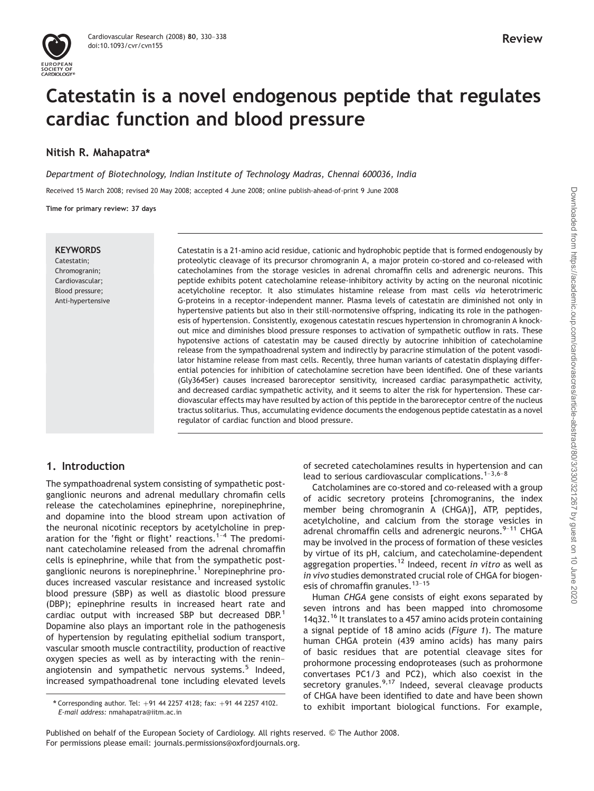# Catestatin is a novel endogenous peptide that regulates cardiac function and blood pressure

# Nitish R. Mahapatra\*

Department of Biotechnology, Indian Institute of Technology Madras, Chennai 600036, India Received 15 March 2008; revised 20 May 2008; accepted 4 June 2008; online publish-ahead-of-print 9 June 2008

Time for primary review: 37 days

#### **KEYWORDS**

Catestatin; Chromogranin; Cardiovascular; Blood pressure; Anti-hypertensive Catestatin is a 21-amino acid residue, cationic and hydrophobic peptide that is formed endogenously by proteolytic cleavage of its precursor chromogranin A, a major protein co-stored and co-released with catecholamines from the storage vesicles in adrenal chromaffin cells and adrenergic neurons. This peptide exhibits potent catecholamine release-inhibitory activity by acting on the neuronal nicotinic acetylcholine receptor. It also stimulates histamine release from mast cells via heterotrimeric G-proteins in a receptor-independent manner. Plasma levels of catestatin are diminished not only in hypertensive patients but also in their still-normotensive offspring, indicating its role in the pathogenesis of hypertension. Consistently, exogenous catestatin rescues hypertension in chromogranin A knockout mice and diminishes blood pressure responses to activation of sympathetic outflow in rats. These hypotensive actions of catestatin may be caused directly by autocrine inhibition of catecholamine release from the sympathoadrenal system and indirectly by paracrine stimulation of the potent vasodilator histamine release from mast cells. Recently, three human variants of catestatin displaying differential potencies for inhibition of catecholamine secretion have been identified. One of these variants (Gly364Ser) causes increased baroreceptor sensitivity, increased cardiac parasympathetic activity, and decreased cardiac sympathetic activity, and it seems to alter the risk for hypertension. These cardiovascular effects may have resulted by action of this peptide in the baroreceptor centre of the nucleus tractus solitarius. Thus, accumulating evidence documents the endogenous peptide catestatin as a novel regulator of cardiac function and blood pressure.

## 1. Introduction

The sympathoadrenal system consisting of sympathetic postganglionic neurons and adrenal medullary chromafin cells release the catecholamines epinephrine, norepinephrine, and dopamine into the blood stream upon activation of the neuronal nicotinic receptors by acetylcholine in preparation for the 'fight or flight' reactions. $1-4$  The predominant catecholamine released from the adrenal chromaffin cells is epinephrine, while that from the sympathetic postganglionic neurons is norepinephrine.<sup>1</sup> Norepinephrine produces increased vascular resistance and increased systolic blood pressure (SBP) as well as diastolic blood pressure (DBP); epinephrine results in increased heart rate and cardiac output with increased SBP but decreased DBP.<sup>1</sup> Dopamine also plays an important role in the pathogenesis of hypertension by regulating epithelial sodium transport, vascular smooth muscle contractility, production of reactive oxygen species as well as by interacting with the renin– angiotensin and sympathetic nervous systems.<sup>5</sup> Indeed, increased sympathoadrenal tone including elevated levels

of secreted catecholamines results in hypertension and can lead to serious cardiovascular complications. $1-3,6-8$ 

Catcholamines are co-stored and co-released with a group of acidic secretory proteins [chromogranins, the index member being chromogranin A (CHGA)], ATP, peptides, acetylcholine, and calcium from the storage vesicles in adrenal chromaffin cells and adrenergic neurons. $9-11$  CHGA may be involved in the process of formation of these vesicles by virtue of its pH, calcium, and catecholamine-dependent aggregation properties.<sup>12</sup> Indeed, recent in vitro as well as in vivo studies demonstrated crucial role of CHGA for biogenesis of chromaffin granules.<sup>13-15</sup>

Human CHGA gene consists of eight exons separated by seven introns and has been mapped into chromosome 14q32.<sup>16</sup> It translates to a 457 amino acids protein containing a signal peptide of 18 amino acids (Figure 1). The mature human CHGA protein (439 amino acids) has many pairs of basic residues that are potential cleavage sites for prohormone processing endoproteases (such as prohormone convertases PC1/3 and PC2), which also coexist in the secretory granules. $9,17$  Indeed, several cleavage products of CHGA have been identified to date and have been shown to exhibit important biological functions. For example, \* Corresponding author. Tel: <sup>þ</sup>91 44 2257 4128; fax: <sup>þ</sup>91 44 2257 4102.

E-mail address: nmahapatra@iitm.ac.in

Published on behalf of the European Society of Cardiology. All rights reserved. © The Author 2008. For permissions please email: journals.permissions@oxfordjournals.org.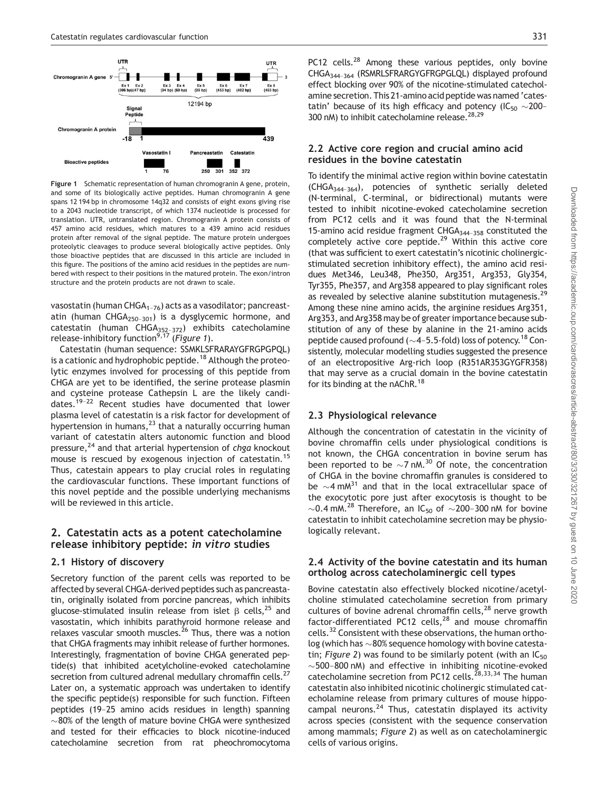

Figure 1 Schematic representation of human chromogranin A gene, protein, and some of its biologically active peptides. Human chromogranin A gene spans 12 194 bp in chromosome 14q32 and consists of eight exons giving rise to a 2043 nucleotide transcript, of which 1374 nucleotide is processed for translation. UTR, untranslated region. Chromogranin A protein consists of 457 amino acid residues, which matures to a 439 amino acid residues protein after removal of the signal peptide. The mature protein undergoes proteolytic cleavages to produce several biologically active peptides. Only those bioactive peptides that are discussed in this article are included in this figure. The positions of the amino acid residues in the peptides are numbered with respect to their positions in the matured protein. The exon/intron structure and the protein products are not drawn to scale.

vasostatin (human CHGA<sub>1–76</sub>) acts as a vasodilator; pancreastatin (human  $CHGA<sub>250-301</sub>$ ) is a dysglycemic hormone, and catestatin (human CHGA<sub>352–372</sub>) exhibits catecholamine release-inhibitory function<sup>9,17</sup> (Figure 1).

Catestatin (human sequence: SSMKLSFRARAYGFRGPGPQL) is a cationic and hydrophobic peptide.<sup>18</sup> Although the proteolytic enzymes involved for processing of this peptide from CHGA are yet to be identified, the serine protease plasmin and cysteine protease Cathepsin L are the likely candidates.19–22 Recent studies have documented that lower plasma level of catestatin is a risk factor for development of hypertension in humans, $^{23}$  that a naturally occurring human variant of catestatin alters autonomic function and blood pressure, $^{24}$  and that arterial hypertension of chga knockout mouse is rescued by exogenous injection of catestatin.<sup>15</sup> Thus, catestain appears to play crucial roles in regulating the cardiovascular functions. These important functions of this novel peptide and the possible underlying mechanisms will be reviewed in this article.

## 2. Catestatin acts as a potent catecholamine release inhibitory peptide: in vitro studies

#### 2.1 History of discovery

Secretory function of the parent cells was reported to be affected by several CHGA-derived peptides such as pancreastatin, originally isolated from porcine pancreas, which inhibits glucose-stimulated insulin release from islet  $\beta$  cells,<sup>25</sup> and vasostatin, which inhibits parathyroid hormone release and relaxes vascular smooth muscles.<sup>26</sup> Thus, there was a notion that CHGA fragments may inhibit release of further hormones. Interestingly, fragmentation of bovine CHGA generated peptide(s) that inhibited acetylcholine-evoked catecholamine secretion from cultured adrenal medullary chromaffin cells.<sup>27</sup> Later on, a systematic approach was undertaken to identify the specific peptide(s) responsible for such function. Fifteen peptides (19–25 amino acids residues in length) spanning  $\sim$ 80% of the length of mature bovine CHGA were synthesized and tested for their efficacies to block nicotine-induced catecholamine secretion from rat pheochromocytoma

PC12 cells.<sup>28</sup> Among these various peptides, only bovine CHGA344–364 (RSMRLSFRARGYGFRGPGLQL) displayed profound effect blocking over 90% of the nicotine-stimulated catecholamine secretion. This 21-amino acid peptide was named 'catestatin' because of its high efficacy and potency (IC<sub>50</sub>  $\sim$ 200-300 nM) to inhibit catecholamine release.<sup>28,29</sup>

#### 2.2 Active core region and crucial amino acid residues in the bovine catestatin

To identify the minimal active region within bovine catestatin (CHGA344–364), potencies of synthetic serially deleted (N-terminal, C-terminal, or bidirectional) mutants were tested to inhibit nicotine-evoked catecholamine secretion from PC12 cells and it was found that the N-terminal 15-amino acid residue fragment  $CHGA_{344-358}$  constituted the completely active core peptide.29 Within this active core (that was sufficient to exert catestatin's nicotinic cholinergicstimulated secretion inhibitory effect), the amino acid residues Met346, Leu348, Phe350, Arg351, Arg353, Gly354, Tyr355, Phe357, and Arg358 appeared to play significant roles as revealed by selective alanine substitution mutagenesis.<sup>29</sup> Among these nine amino acids, the arginine residues Arg351, Arg353, and Arg358 may be of greater importance because substitution of any of these by alanine in the 21-amino acids peptide caused profound ( $\sim$ 4-5.5-fold) loss of potency.<sup>18</sup> Consistently, molecular modelling studies suggested the presence of an electropositive Arg-rich loop (R351AR353GYGFR358) that may serve as a crucial domain in the bovine catestatin for its binding at the nAChR.<sup>18</sup>

#### 2.3 Physiological relevance

Although the concentration of catestatin in the vicinity of bovine chromaffin cells under physiological conditions is not known, the CHGA concentration in bovine serum has been reported to be  $\sim$ 7 nM.<sup>30</sup> Of note, the concentration of CHGA in the bovine chromaffin granules is considered to be  $\sim$ 4 mM<sup>31</sup> and that in the local extracellular space of the exocytotic pore just after exocytosis is thought to be  $\sim$ 0.4 mM.<sup>28</sup> Therefore, an IC<sub>50</sub> of  $\sim$ 200-300 nM for bovine catestatin to inhibit catecholamine secretion may be physiologically relevant.

#### 2.4 Activity of the bovine catestatin and its human ortholog across catecholaminergic cell types

Bovine catestatin also effectively blocked nicotine/acetylcholine stimulated catecholamine secretion from primary cultures of bovine adrenal chromaffin cells, $^{28}$  nerve growth factor-differentiated PC12 cells, $^{28}$  and mouse chromaffin cells.32 Consistent with these observations, the human ortholog (which has  $\sim$  80% sequence homology with bovine catestatin; Figure 2) was found to be similarly potent (with an  $IC_{50}$  $\sim$  500–800 nM) and effective in inhibiting nicotine-evoked catecholamine secretion from PC12 cells.<sup> $28,33,34$ </sup> The human catestatin also inhibited nicotinic cholinergic stimulated catecholamine release from primary cultures of mouse hippocampal neurons. $^{24}$  Thus, catestatin displayed its activity across species (consistent with the sequence conservation among mammals; Figure 2) as well as on catecholaminergic cells of various origins.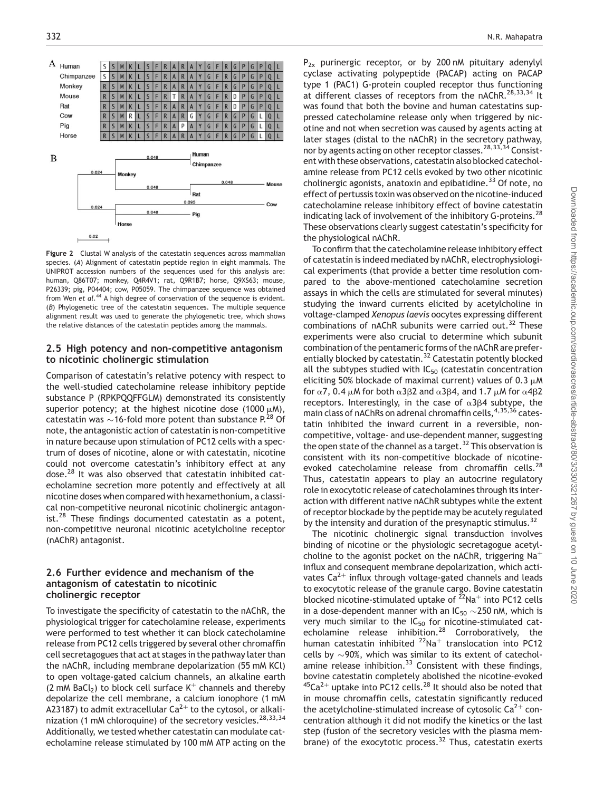

Figure 2 Clustal W analysis of the catestatin sequences across mammalian species. (A) Alignment of catestatin peptide region in eight mammals. The UNIPROT accession numbers of the sequences used for this analysis are: human, Q86T07; monkey, Q4R4V1; rat, Q9R1B7; horse, Q9XS63; mouse, P26339; pig, P04404; cow, P05059. The chimpanzee sequence was obtained from Wen et al.<sup>44</sup> A high degree of conservation of the sequence is evident. (B) Phylogenetic tree of the catestatin sequences. The multiple sequence alignment result was used to generate the phylogenetic tree, which shows the relative distances of the catestatin peptides among the mammals.

#### 2.5 High potency and non-competitive antagonism to nicotinic cholinergic stimulation

Comparison of catestatin's relative potency with respect to the well-studied catecholamine release inhibitory peptide substance P (RPKPQQFFGLM) demonstrated its consistently superior potency; at the highest nicotine dose (1000  $\mu$ M), catestatin was  ${\sim}$  16-fold more potent than substance P.<sup>28</sup> Of note, the antagonistic action of catestatin is non-competitive in nature because upon stimulation of PC12 cells with a spectrum of doses of nicotine, alone or with catestatin, nicotine could not overcome catestatin's inhibitory effect at any dose.<sup>28</sup> It was also observed that catestatin inhibited catecholamine secretion more potently and effectively at all nicotine doses when compared with hexamethonium, a classical non-competitive neuronal nicotinic cholinergic antagonist. $^{28}$  These findings documented catestatin as a potent, non-competitive neuronal nicotinic acetylcholine receptor (nAChR) antagonist.

#### 2.6 Further evidence and mechanism of the antagonism of catestatin to nicotinic cholinergic receptor

To investigate the specificity of catestatin to the nAChR, the physiological trigger for catecholamine release, experiments were performed to test whether it can block catecholamine release from PC12 cells triggered by several other chromaffin cell secretagogues that act at stages in the pathway later than the nAChR, including membrane depolarization (55 mM KCl) to open voltage-gated calcium channels, an alkaline earth (2 mM BaCl<sub>2</sub>) to block cell surface  $K^+$  channels and thereby depolarize the cell membrane, a calcium ionophore (1 mM A23187) to admit extracellular  $Ca^{2+}$  to the cytosol, or alkalinization (1 mM chloroquine) of the secretory vesicles.<sup>28,33,34</sup> Additionally, we tested whether catestatin can modulate catecholamine release stimulated by 100 mM ATP acting on the  $P_{2x}$  purinergic receptor, or by 200 nM pituitary adenylyl cyclase activating polypeptide (PACAP) acting on PACAP type 1 (PAC1) G-protein coupled receptor thus functioning at different classes of receptors from the nAChR.<sup>28,33,34</sup> It was found that both the bovine and human catestatins suppressed catecholamine release only when triggered by nicotine and not when secretion was caused by agents acting at later stages (distal to the nAChR) in the secretory pathway, nor by agents acting on other receptor classes.<sup>28,33,34</sup> Consistent with these observations, catestatin also blocked catecholamine release from PC12 cells evoked by two other nicotinic cholinergic agonists, anatoxin and epibatidine.<sup>33</sup> Of note, no effect of pertussis toxin was observed on the nicotine-induced catecholamine release inhibitory effect of bovine catestatin indicating lack of involvement of the inhibitory G-proteins.<sup>28</sup> These observations clearly suggest catestatin's specificity for the physiological nAChR.

To confirm that the catecholamine release inhibitory effect of catestatin is indeed mediated by nAChR, electrophysiological experiments (that provide a better time resolution compared to the above-mentioned catecholamine secretion assays in which the cells are stimulated for several minutes) studying the inward currents elicited by acetylcholine in voltage-clamped Xenopus laevis oocytes expressing different combinations of nAChR subunits were carried out. $32$  These experiments were also crucial to determine which subunit combination of the pentameric forms of the nAChR are preferentially blocked by catestatin.<sup>32</sup> Catestatin potently blocked all the subtypes studied with  $IC_{50}$  (catestatin concentration eliciting 50% blockade of maximal current) values of 0.3  $\mu$ M for  $\alpha$ 7, 0.4  $\mu$ M for both  $\alpha$ 3 $\beta$ 2 and  $\alpha$ 3 $\beta$ 4, and 1.7  $\mu$ M for  $\alpha$ 4 $\beta$ 2 receptors. Interestingly, in the case of  $\alpha$ 3 $\beta$ 4 subtype, the main class of nAChRs on adrenal chromaffin cells, 4,35,36 catestatin inhibited the inward current in a reversible, noncompetitive, voltage- and use-dependent manner, suggesting the open state of the channel as a target.<sup>32</sup> This observation is consistent with its non-competitive blockade of nicotineevoked catecholamine release from chromaffin cells.<sup>28</sup> Thus, catestatin appears to play an autocrine regulatory role in exocytotic release of catecholamines through its interaction with different native nAChR subtypes while the extent of receptor blockade by the peptide may be acutely regulated by the intensity and duration of the presynaptic stimulus.<sup>32</sup>

The nicotinic cholinergic signal transduction involves binding of nicotine or the physiologic secretagogue acetylcholine to the agonist pocket on the nAChR, triggering  $Na<sup>+</sup>$ influx and consequent membrane depolarization, which activates  $Ca^{2+}$  influx through voltage-gated channels and leads to exocytotic release of the granule cargo. Bovine catestatin blocked nicotine-stimulated uptake of  $22$ Na<sup>+</sup> into PC12 cells in a dose-dependent manner with an IC<sub>50</sub>  $\sim$ 250 nM, which is very much similar to the  $IC_{50}$  for nicotine-stimulated catecholamine release inhibition.<sup>28</sup> Corroboratively, the human catestatin inhibited  $^{22}$ Na<sup>+</sup> translocation into PC12 cells by  $\sim$ 90%, which was similar to its extent of catecholamine release inhibition. $33$  Consistent with these findings, bovine catestatin completely abolished the nicotine-evoked  $45Ca^{2+}$  uptake into PC12 cells.<sup>28</sup> It should also be noted that in mouse chromaffin cells, catestatin significantly reduced the acetylcholine-stimulated increase of cytosolic  $Ca^{2+}$  concentration although it did not modify the kinetics or the last step (fusion of the secretory vesicles with the plasma membrane) of the exocytotic process. $32$  Thus, catestatin exerts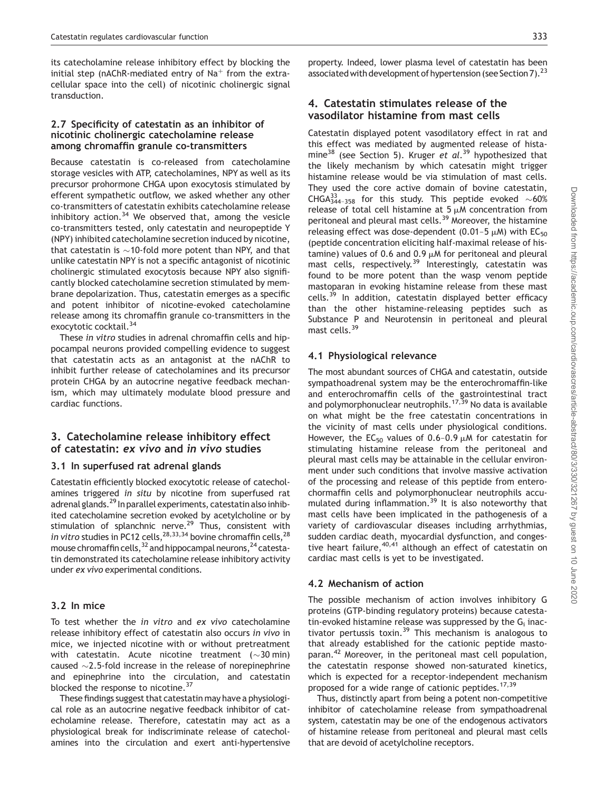its catecholamine release inhibitory effect by blocking the initial step (nAChR-mediated entry of  $Na<sup>+</sup>$  from the extracellular space into the cell) of nicotinic cholinergic signal transduction.

#### 2.7 Specificity of catestatin as an inhibitor of nicotinic cholinergic catecholamine release among chromaffin granule co-transmitters

Because catestatin is co-released from catecholamine storage vesicles with ATP, catecholamines, NPY as well as its precursor prohormone CHGA upon exocytosis stimulated by efferent sympathetic outflow, we asked whether any other co-transmitters of catestatin exhibits catecholamine release inhibitory action.<sup>34</sup> We observed that, among the vesicle co-transmitters tested, only catestatin and neuropeptide Y (NPY) inhibited catecholamine secretion induced by nicotine, that catestatin is  ${\sim}$  10-fold more potent than NPY, and that unlike catestatin NPY is not a specific antagonist of nicotinic cholinergic stimulated exocytosis because NPY also significantly blocked catecholamine secretion stimulated by membrane depolarization. Thus, catestatin emerges as a specific and potent inhibitor of nicotine-evoked catecholamine release among its chromaffin granule co-transmitters in the exocytotic cocktail.<sup>34</sup>

These in vitro studies in adrenal chromaffin cells and hippocampal neurons provided compelling evidence to suggest that catestatin acts as an antagonist at the nAChR to inhibit further release of catecholamines and its precursor protein CHGA by an autocrine negative feedback mechanism, which may ultimately modulate blood pressure and cardiac functions.

## 3. Catecholamine release inhibitory effect of catestatin: ex vivo and in vivo studies

#### 3.1 In superfused rat adrenal glands

Catestatin efficiently blocked exocytotic release of catecholamines triggered in situ by nicotine from superfused rat adrenal glands.<sup>29</sup> In parallel experiments, catestatin also inhibited catecholamine secretion evoked by acetylcholine or by stimulation of splanchnic nerve.<sup>29</sup> Thus, consistent with in vitro studies in PC12 cells,  $28,33,34$  bovine chromaffin cells,  $28$ mouse chromaffin cells,  $32$  and hippocampal neurons,  $24$  catestatin demonstrated its catecholamine release inhibitory activity under ex vivo experimental conditions.

#### 3.2 In mice

To test whether the in vitro and ex vivo catecholamine release inhibitory effect of catestatin also occurs in vivo in mice, we injected nicotine with or without pretreatment with catestatin. Acute nicotine treatment ( $\sim$ 30 $\,$ min) caused  $\sim$ 2.5-fold increase in the release of norepinephrine and epinephrine into the circulation, and catestatin blocked the response to nicotine.<sup>37</sup>

These findings suggest that catestatin may have a physiological role as an autocrine negative feedback inhibitor of catecholamine release. Therefore, catestatin may act as a physiological break for indiscriminate release of catecholamines into the circulation and exert anti-hypertensive

property. Indeed, lower plasma level of catestatin has been associated with development of hypertension (see Section 7).<sup>23</sup>

## 4. Catestatin stimulates release of the vasodilator histamine from mast cells

Catestatin displayed potent vasodilatory effect in rat and this effect was mediated by augmented release of histamine<sup>38</sup> (see Section 5). Kruger et al.<sup>39</sup> hypothesized that the likely mechanism by which catesatin might trigger histamine release would be via stimulation of mast cells. They used the core active domain of bovine catestatin, CHGA $^{33}_{344-358}$  for this study. This peptide evoked  $\sim$ 60% release of total cell histamine at  $5 \mu M$  concentration from peritoneal and pleural mast cells.<sup>39</sup> Moreover, the histamine releasing effect was dose-dependent  $(0.01-5 \mu M)$  with EC<sub>50</sub> (peptide concentration eliciting half-maximal release of histamine) values of 0.6 and 0.9  $\mu$ M for peritoneal and pleural mast cells, respectively.<sup>39</sup> Interestingly, catestatin was found to be more potent than the wasp venom peptide mastoparan in evoking histamine release from these mast cells.<sup>39</sup> In addition, catestatin displayed better efficacy than the other histamine-releasing peptides such as Substance P and Neurotensin in peritoneal and pleural mast cells.<sup>39</sup>

#### 4.1 Physiological relevance

The most abundant sources of CHGA and catestatin, outside sympathoadrenal system may be the enterochromaffin-like and enterochromaffin cells of the gastrointestinal tract and polymorphonuclear neutrophils.<sup>17,39</sup> No data is available on what might be the free catestatin concentrations in the vicinity of mast cells under physiological conditions. However, the EC<sub>50</sub> values of 0.6-0.9  $\mu$ M for catestatin for stimulating histamine release from the peritoneal and pleural mast cells may be attainable in the cellular environment under such conditions that involve massive activation of the processing and release of this peptide from enterochormaffin cells and polymorphonuclear neutrophils accumulated during inflammation.<sup>39</sup> It is also noteworthy that mast cells have been implicated in the pathogenesis of a variety of cardiovascular diseases including arrhythmias, sudden cardiac death, myocardial dysfunction, and congestive heart failure,  $40,41$  although an effect of catestatin on cardiac mast cells is yet to be investigated.

#### 4.2 Mechanism of action

The possible mechanism of action involves inhibitory G proteins (GTP-binding regulatory proteins) because catestatin-evoked histamine release was suppressed by the  $G_i$  inactivator pertussis toxin.<sup>39</sup> This mechanism is analogous to that already established for the cationic peptide mastoparan.<sup>42</sup> Moreover, in the peritoneal mast cell population, the catestatin response showed non-saturated kinetics, which is expected for a receptor-independent mechanism proposed for a wide range of cationic peptides.<sup>17,39</sup>

Thus, distinctly apart from being a potent non-competitive inhibitor of catecholamine release from sympathoadrenal system, catestatin may be one of the endogenous activators of histamine release from peritoneal and pleural mast cells that are devoid of acetylcholine receptors.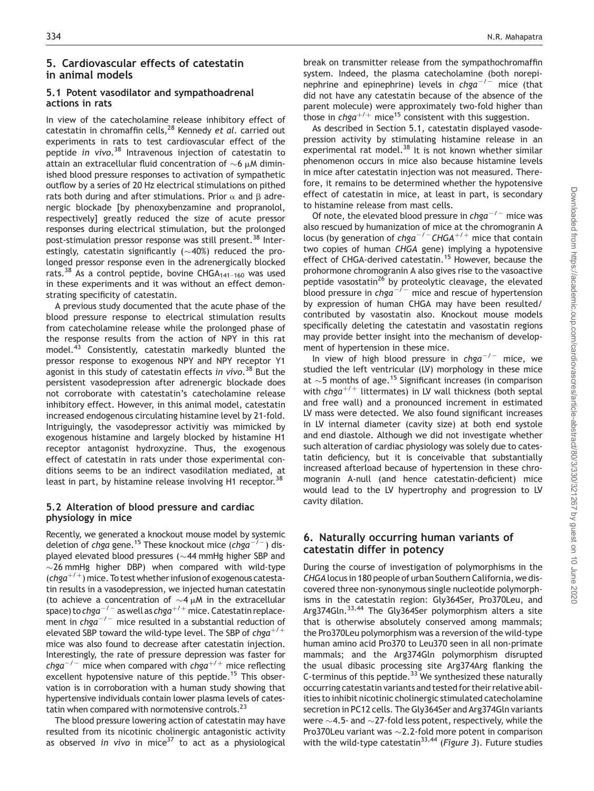## 5. Cardiovascular effects of catestatin in animal models

## 5.1 Potent vasodilator and sympathoadrenal actions in rats

In view of the catecholamine release inhibitory effect of catestatin in chromaffin cells,  $28$  Kennedy et al. carried out experiments in rats to test cardiovascular effect of the peptide in vivo.<sup>38</sup> Intravenous injection of catestatin to attain an extracellular fluid concentration of  ${\sim}6$   $\mu$ M diminished blood pressure responses to activation of sympathetic outflow by a series of 20 Hz electrical stimulations on pithed rats both during and after stimulations. Prior  $\alpha$  and  $\beta$  adrenergic blockade [by phenoxybenzamine and propranolol, respectively] greatly reduced the size of acute pressor responses during electrical stimulation, but the prolonged post-stimulation pressor response was still present.<sup>38</sup> Interestingly, catestatin significantly ( ${\sim}40\%)$  reduced the prolonged pressor response even in the adrenergically blocked rats.<sup>38</sup> As a control peptide, bovine CHGA<sub>141-160</sub> was used in these experiments and it was without an effect demonstrating specificity of catestatin.

A previous study documented that the acute phase of the blood pressure response to electrical stimulation results from catecholamine release while the prolonged phase of the response results from the action of NPY in this rat model.<sup>43</sup> Consistently, catestatin markedly blunted the pressor response to exogenous NPY and NPY receptor Y1 agonist in this study of catestatin effects *in vivo*. <sup>38</sup> But the persistent vasodepression after adrenergic blockade does not corroborate with catestatin's catecholamine release inhibitory effect. However, in this animal model, catestatin increased endogenous circulating histamine level by 21-fold. Intriguingly, the vasodepressor activitiy was mimicked by exogenous histamine and largely blocked by histamine H1 receptor antagonist hydroxyzine. Thus, the exogenous effect of catestatin in rats under those experimental conditions seems to be an indirect vasodilation mediated, at least in part, by histamine release involving H1 receptor.<sup>38</sup>

## 5.2 Alteration of blood pressure and cardiac physiology in mice

Recently, we generated a knockout mouse model by systemic deletion of chga gene.<sup>15</sup> These knockout mice (chga<sup>-/-</sup>) displayed elevated blood pressures ( $\sim$ 44 mmHg higher SBP and  $\sim$ 26 mmHg higher DBP) when compared with wild-type (chga<sup>+/+</sup>) mice. To test whether infusion of exogenous catestatin results in a vasodepression, we injected human catestatin (to achieve a concentration of  $\sim$ 4  $\mu$ M in the extracellular space) to  $chga^{-/-}$  as well as  $chga^{+/+}$  mice. Catestatin replacement in  $chga^{-/-}$  mice resulted in a substantial reduction of elevated SBP toward the wild-type level. The SBP of  $chga^{+/+}$ mice was also found to decrease after catestatin injection. Interestingly, the rate of pressure depression was faster for chga<sup>-/-</sup> mice when compared with chga<sup>+/+</sup> mice reflecting excellent hypotensive nature of this peptide.<sup>15</sup> This observation is in corroboration with a human study showing that hypertensive individuals contain lower plasma levels of catestatin when compared with normotensive controls.<sup>23</sup>

The blood pressure lowering action of catestatin may have resulted from its nicotinic cholinergic antagonistic activity as observed in vivo in mice<sup>37</sup> to act as a physiological

break on transmitter release from the sympathochromaffin system. Indeed, the plasma catecholamine (both norepinephrine and epinephrine) levels in  $chqa^{-/-}$  mice (that did not have any catestatin because of the absence of the parent molecule) were approximately two-fold higher than those in chga<sup>+/+</sup> mice<sup>15</sup> consistent with this suggestion.

As described in Section 5.1, catestatin displayed vasodepression activity by stimulating histamine release in an experimental rat model.<sup>38</sup> It is not known whether similar phenomenon occurs in mice also because histamine levels in mice after catestatin injection was not measured. Therefore, it remains to be determined whether the hypotensive effect of catestatin in mice, at least in part, is secondary to histamine release from mast cells.

Of note, the elevated blood pressure in chga<sup>-/-</sup> mice was also rescued by humanization of mice at the chromogranin A locus (by generation of chga<sup>-/-</sup>CHGA<sup>+/+</sup> mice that contain two copies of human CHGA gene) implying a hypotensive effect of CHGA-derived catestatin.<sup>15</sup> However, because the prohormone chromogranin A also gives rise to the vasoactive peptide vasostatin<sup>26</sup> by proteolytic cleavage, the elevated blood pressure in  $chga^{-/-}$  mice and rescue of hypertension by expression of human CHGA may have been resulted/ contributed by vasostatin also. Knockout mouse models specifically deleting the catestatin and vasostatin regions may provide better insight into the mechanism of development of hypertension in these mice.

In view of high blood pressure in  $chga^{-/-}$  mice, we studied the left ventricular (LV) morphology in these mice at  $\sim$  5 months of age.<sup>15</sup> Significant increases (in comparison with  $chga^{+/+}$  littermates) in LV wall thickness (both septal and free wall) and a pronounced increment in estimated LV mass were detected. We also found significant increases in LV internal diameter (cavity size) at both end systole and end diastole. Although we did not investigate whether such alteration of cardiac physiology was solely due to catestatin deficiency, but it is conceivable that substantially increased afterload because of hypertension in these chromogranin A-null (and hence catestatin-deficient) mice would lead to the LV hypertrophy and progression to LV cavity dilation.

# 6. Naturally occurring human variants of catestatin differ in potency

During the course of investigation of polymorphisms in the CHGA locus in 180 people of urban Southern California, we discovered three non-synonymous single nucleotide polymorphisms in the catestatin region: Gly364Ser, Pro370Leu, and Arg374Gln.<sup>33,44</sup> The Gly364Ser polymorphism alters a site that is otherwise absolutely conserved among mammals; the Pro370Leu polymorphism was a reversion of the wild-type human amino acid Pro370 to Leu370 seen in all non-primate mammals; and the Arg374Gln polymorphism disrupted the usual dibasic processing site Arg374Arg flanking the C-terminus of this peptide. $33$  We synthesized these naturally occurring catestatin variants and tested for their relative abilities to inhibit nicotinic cholinergic stimulated catecholamine secretion in PC12 cells. The Gly364Ser and Arg374Gln variants were  ${\sim}$ 4.5- and  ${\sim}$ 27-fold less potent, respectively, while the Pro370Leu variant was  $\sim$  2.2-fold more potent in comparison with the wild-type catestatin<sup>33,44</sup> (Figure 3). Future studies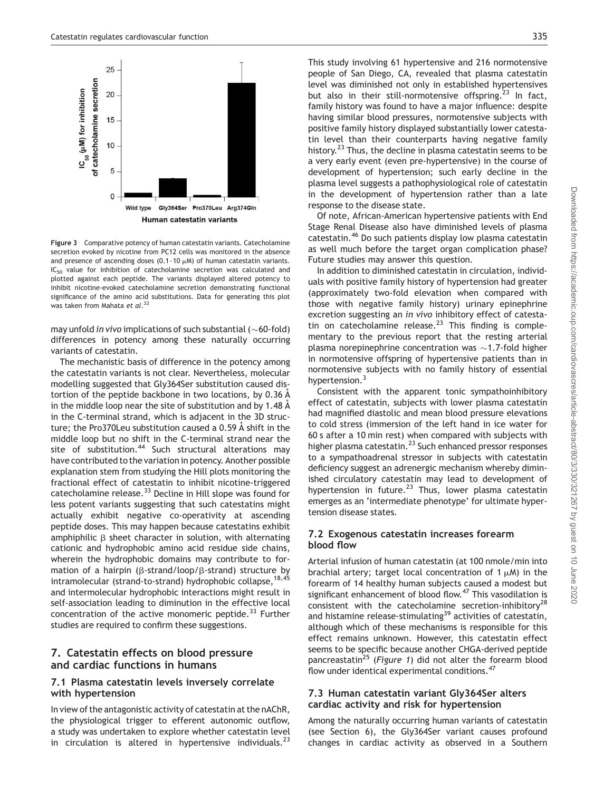

Figure 3 Comparative potency of human catestatin variants. Catecholamine secretion evoked by nicotine from PC12 cells was monitored in the absence and presence of ascending doses  $(0.1-10 \mu)$  of human catestatin variants. IC<sub>50</sub> value for inhibition of catecholamine secretion was calculated and plotted against each peptide. The variants displayed altered potency to inhibit nicotine-evoked catecholamine secretion demonstrating functional significance of the amino acid substitutions. Data for generating this plot was taken from Mahata et al.<sup>33</sup>

may unfold *in vivo* implications of such substantial ( $\sim$ 60-fold) differences in potency among these naturally occurring variants of catestatin.

The mechanistic basis of difference in the potency among the catestatin variants is not clear. Nevertheless, molecular modelling suggested that Gly364Ser substitution caused distortion of the peptide backbone in two locations, by 0.36 A in the middle loop near the site of substitution and by 1.48  $\AA$ in the C-terminal strand, which is adjacent in the 3D structure; the Pro370Leu substitution caused a 0.59 Å shift in the middle loop but no shift in the C-terminal strand near the site of substitution.<sup>44</sup> Such structural alterations may have contributed to the variation in potency. Another possible explanation stem from studying the Hill plots monitoring the fractional effect of catestatin to inhibit nicotine-triggered catecholamine release.<sup>33</sup> Decline in Hill slope was found for less potent variants suggesting that such catestatins might actually exhibit negative co-operativity at ascending peptide doses. This may happen because catestatins exhibit amphiphilic  $\beta$  sheet character in solution, with alternating cationic and hydrophobic amino acid residue side chains, wherein the hydrophobic domains may contribute to formation of a hairpin ( $\beta$ -strand/loop/ $\beta$ -strand) structure by intramolecular (strand-to-strand) hydrophobic collapse, <sup>18,45</sup> and intermolecular hydrophobic interactions might result in self-association leading to diminution in the effective local concentration of the active monomeric peptide. $33$  Further studies are required to confirm these suggestions.

## 7. Catestatin effects on blood pressure and cardiac functions in humans

#### 7.1 Plasma catestatin levels inversely correlate with hypertension

In view of the antagonistic activity of catestatin at the nAChR, the physiological trigger to efferent autonomic outflow, a study was undertaken to explore whether catestatin level in circulation is altered in hypertensive individuals. $^{23}$ 

This study involving 61 hypertensive and 216 normotensive people of San Diego, CA, revealed that plasma catestatin level was diminished not only in established hypertensives but also in their still-normotensive offspring.<sup>23</sup> In fact, family history was found to have a major influence: despite having similar blood pressures, normotensive subjects with positive family history displayed substantially lower catestatin level than their counterparts having negative family history.<sup>23</sup> Thus, the decline in plasma catestatin seems to be a very early event (even pre-hypertensive) in the course of development of hypertension; such early decline in the plasma level suggests a pathophysiological role of catestatin in the development of hypertension rather than a late response to the disease state.

Of note, African-American hypertensive patients with End Stage Renal Disease also have diminished levels of plasma catestatin.<sup>46</sup> Do such patients display low plasma catestatin as well much before the target organ complication phase? Future studies may answer this question.

In addition to diminished catestatin in circulation, individuals with positive family history of hypertension had greater (approximately two-fold elevation when compared with those with negative family history) urinary epinephrine excretion suggesting an in vivo inhibitory effect of catestatin on catecholamine release.<sup>23</sup> This finding is complementary to the previous report that the resting arterial plasma norepinephrine concentration was  $\sim$ 1.7-fold higher in normotensive offspring of hypertensive patients than in normotensive subjects with no family history of essential hypertension.<sup>3</sup>

Consistent with the apparent tonic sympathoinhibitory effect of catestatin, subjects with lower plasma catestatin had magnified diastolic and mean blood pressure elevations to cold stress (immersion of the left hand in ice water for 60 s after a 10 min rest) when compared with subjects with higher plasma catestatin. $^{23}$  Such enhanced pressor responses to a sympathoadrenal stressor in subjects with catestatin deficiency suggest an adrenergic mechanism whereby diminished circulatory catestatin may lead to development of hypertension in future.<sup>23</sup> Thus, lower plasma catestatin emerges as an 'intermediate phenotype' for ultimate hypertension disease states.

## 7.2 Exogenous catestatin increases forearm blood flow

Arterial infusion of human catestatin (at 100 nmole/min into brachial artery; target local concentration of  $1 \mu$ M) in the forearm of 14 healthy human subjects caused a modest but significant enhancement of blood flow.<sup>47</sup> This vasodilation is consistent with the catecholamine secretion-inhibitory<sup>28</sup> and histamine release-stimulating<sup>39</sup> activities of catestatin, although which of these mechanisms is responsible for this effect remains unknown. However, this catestatin effect seems to be specific because another CHGA-derived peptide pancreastatin<sup>25</sup> (Figure 1) did not alter the forearm blood flow under identical experimental conditions.<sup>47</sup>

#### 7.3 Human catestatin variant Gly364Ser alters cardiac activity and risk for hypertension

Among the naturally occurring human variants of catestatin (see Section 6), the Gly364Ser variant causes profound changes in cardiac activity as observed in a Southern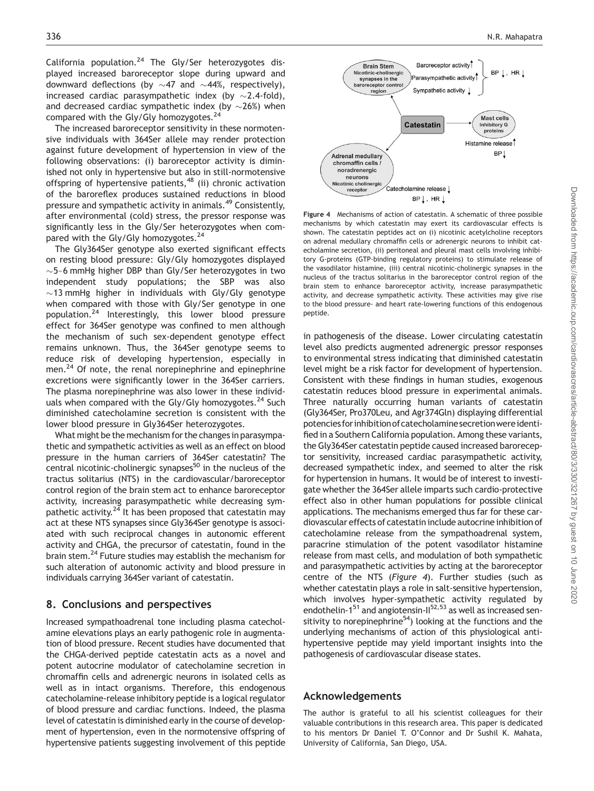California population.<sup>24</sup> The Gly/Ser heterozygotes displayed increased baroreceptor slope during upward and downward deflections (by  ${\sim}$ 47 and  ${\sim}$ 44%, respectively), increased cardiac parasympathetic index (by  ${\sim}2.4$ -fold), and decreased cardiac sympathetic index (by  ${\sim}26\%)$  when compared with the Gly/Gly homozygotes.<sup>24</sup>

The increased baroreceptor sensitivity in these normotensive individuals with 364Ser allele may render protection against future development of hypertension in view of the following observations: (i) baroreceptor activity is diminished not only in hypertensive but also in still-normotensive offspring of hypertensive patients,  $48$  (ii) chronic activation of the baroreflex produces sustained reductions in blood pressure and sympathetic activity in animals.<sup>49</sup> Consistently, after environmental (cold) stress, the pressor response was significantly less in the Gly/Ser heterozygotes when compared with the Gly/Gly homozygotes.<sup>24</sup>

The Gly364Ser genotype also exerted significant effects on resting blood pressure: Gly/Gly homozygotes displayed ~5-6 mmHg higher DBP than Gly/Ser heterozygotes in two independent study populations; the SBP was also  $\sim$ 13 mmHg higher in individuals with Gly/Gly genotype when compared with those with Gly/Ser genotype in one population.<sup>24</sup> Interestingly, this lower blood pressure effect for 364Ser genotype was confined to men although the mechanism of such sex-dependent genotype effect remains unknown. Thus, the 364Ser genotype seems to reduce risk of developing hypertension, especially in men.<sup>24</sup> Of note, the renal norepinephrine and epinephrine excretions were significantly lower in the 364Ser carriers. The plasma norepinephrine was also lower in these individuals when compared with the Gly/Gly homozygotes.<sup>24</sup> Such diminished catecholamine secretion is consistent with the lower blood pressure in Gly364Ser heterozygotes.

What might be the mechanism for the changes in parasympathetic and sympathetic activities as well as an effect on blood pressure in the human carriers of 364Ser catestatin? The central nicotinic-cholinergic synapses $50$  in the nucleus of the tractus solitarius (NTS) in the cardiovascular/baroreceptor control region of the brain stem act to enhance baroreceptor activity, increasing parasympathetic while decreasing sympathetic activity. $2^{\overline{4}}$  It has been proposed that catestatin may act at these NTS synapses since Gly364Ser genotype is associated with such reciprocal changes in autonomic efferent activity and CHGA, the precursor of catestatin, found in the brain stem.24 Future studies may establish the mechanism for such alteration of autonomic activity and blood pressure in individuals carrying 364Ser variant of catestatin.

## 8. Conclusions and perspectives

Increased sympathoadrenal tone including plasma catecholamine elevations plays an early pathogenic role in augmentation of blood pressure. Recent studies have documented that the CHGA-derived peptide catestatin acts as a novel and potent autocrine modulator of catecholamine secretion in chromaffin cells and adrenergic neurons in isolated cells as well as in intact organisms. Therefore, this endogenous catecholamine-release inhibitory peptide is a logical regulator of blood pressure and cardiac functions. Indeed, the plasma level of catestatin is diminished early in the course of development of hypertension, even in the normotensive offspring of hypertensive patients suggesting involvement of this peptide



Figure 4 Mechanisms of action of catestatin. A schematic of three possible mechanisms by which catestatin may exert its cardiovascular effects is shown. The catestatin peptides act on (i) nicotinic acetylcholine receptors on adrenal medullary chromaffin cells or adrenergic neurons to inhibit catecholamine secretion, (ii) peritoneal and pleural mast cells involving inhibitory G-proteins (GTP-binding regulatory proteins) to stimulate release of the vasodilator histamine, (iii) central nicotinic-cholinergic synapses in the nucleus of the tractus solitarius in the baroreceptor control region of the brain stem to enhance baroreceptor activity, increase parasympathetic activity, and decrease sympathetic activity. These activities may give rise to the blood pressure- and heart rate-lowering functions of this endogenous peptide.

in pathogenesis of the disease. Lower circulating catestatin level also predicts augmented adrenergic pressor responses to environmental stress indicating that diminished catestatin level might be a risk factor for development of hypertension. Consistent with these findings in human studies, exogenous catestatin reduces blood pressure in experimental animals. Three naturally occurring human variants of catestatin (Gly364Ser, Pro370Leu, and Agr374Gln) displaying differential potencies forinhibitionofcatecholamine secretionwereidentified in a Southern California population. Among these variants, the Gly364Ser catestatin peptide caused increased baroreceptor sensitivity, increased cardiac parasympathetic activity, decreased sympathetic index, and seemed to alter the risk for hypertension in humans. It would be of interest to investigate whether the 364Ser allele imparts such cardio-protective effect also in other human populations for possible clinical applications. The mechanisms emerged thus far for these cardiovascular effects of catestatin include autocrine inhibition of catecholamine release from the sympathoadrenal system, paracrine stimulation of the potent vasodilator histamine release from mast cells, and modulation of both sympathetic and parasympathetic activities by acting at the baroreceptor centre of the NTS (Figure 4). Further studies (such as whether catestatin plays a role in salt-sensitive hypertension, which involves hyper-sympathetic activity regulated by endothelin-1 $51$  and angiotensin-II $52,53$  as well as increased sensitivity to norepinephrine $54$ ) looking at the functions and the underlying mechanisms of action of this physiological antihypertensive peptide may yield important insights into the pathogenesis of cardiovascular disease states.

## Acknowledgements

The author is grateful to all his scientist colleagues for their valuable contributions in this research area. This paper is dedicated to his mentors Dr Daniel T. O'Connor and Dr Sushil K. Mahata, University of California, San Diego, USA.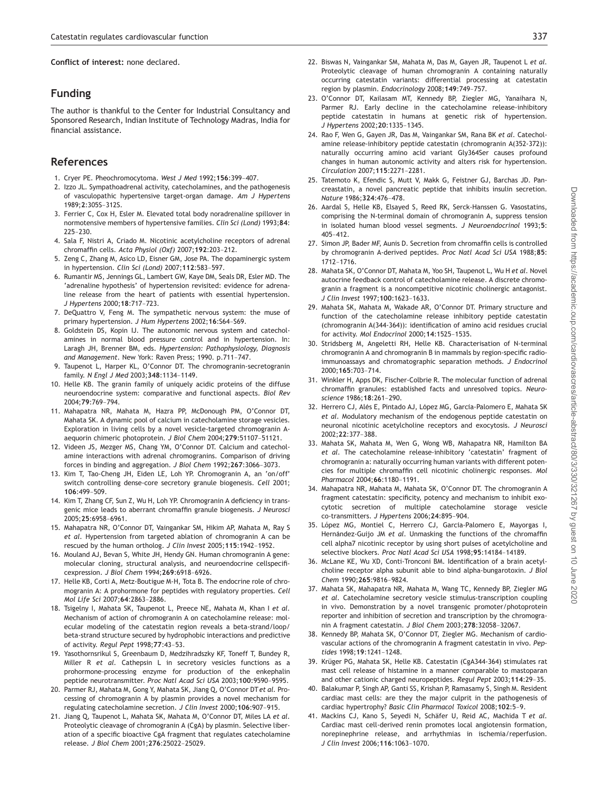Conflict of interest: none declared.

## Funding

The author is thankful to the Center for Industrial Consultancy and Sponsored Research, Indian Institute of Technology Madras, India for financial assistance.

## References

- 1. Cryer PE. Pheochromocytoma. West J Med 1992;<sup>156</sup>:399–407.
- 2. Izzo JL. Sympathoadrenal activity, catecholamines, and the pathogenesis of vasculopathic hypertensive target-organ damage. Am J Hypertens 1989;<sup>2</sup>:305S–312S.
- 3. Ferrier C, Cox H, Esler M. Elevated total body noradrenaline spillover in normotensive members of hypertensive families. Clin Sci (Lond) 1993;84: 225–230.
- 4. Sala F, Nistri A, Criado M. Nicotinic acetylcholine receptors of adrenal chromaffin cells. Acta Physiol (Oxf) 2007;<sup>192</sup>:203–212.
- 5. Zeng C, Zhang M, Asico LD, Eisner GM, Jose PA. The dopaminergic system in hypertension. Clin Sci (Lond) 2007;<sup>112</sup>:583–597.
- 6. Rumantir MS, Jennings GL, Lambert GW, Kaye DM, Seals DR, Esler MD. The 'adrenaline hypothesis' of hypertension revisited: evidence for adrenaline release from the heart of patients with essential hypertension. J Hypertens 2000;<sup>18</sup>:717–723.
- 7. DeQuattro V, Feng M. The sympathetic nervous system: the muse of primary hypertension. J Hum Hypertens 2002;<sup>16</sup>:S64–S69.
- 8. Goldstein DS, Kopin IJ. The autonomic nervous system and catecholamines in normal blood pressure control and in hypertension. In: Laragh JH, Brenner BM, eds. Hypertension: Pathophysiology, Diagnosis and Management. New York: Raven Press; 1990. p.711–747.
- 9. Taupenot L, Harper KL, O'Connor DT. The chromogranin-secretogranin family. N Engl J Med 2003;<sup>348</sup>:1134–1149.
- 10. Helle KB. The granin family of uniquely acidic proteins of the diffuse neuroendocrine system: comparative and functional aspects. Biol Rev 2004;<sup>79</sup>:769–794.
- 11. Mahapatra NR, Mahata M, Hazra PP, McDonough PM, O'Connor DT, Mahata SK. A dynamic pool of calcium in catecholamine storage vesicles. Exploration in living cells by a novel vesicle-targeted chromogranin Aaequorin chimeric photoprotein. J Biol Chem 2004;<sup>279</sup>:51107–51121.
- 12. Videen JS, Mezger MS, Chang YM, O'Connor DT. Calcium and catecholamine interactions with adrenal chromogranins. Comparison of driving forces in binding and aggregation. J Biol Chem 1992;<sup>267</sup>:3066–3073.
- 13. Kim T, Tao-Cheng JH, Eiden LE, Loh YP. Chromogranin A, an 'on/off' switch controlling dense-core secretory granule biogenesis. Cell 2001; <sup>106</sup>:499–509.
- 14. Kim T, Zhang CF, Sun Z, Wu H, Loh YP. Chromogranin A deficiency in transgenic mice leads to aberrant chromaffin granule biogenesis. J Neurosci 2005;<sup>25</sup>:6958–6961.
- 15. Mahapatra NR, O'Connor DT, Vaingankar SM, Hikim AP, Mahata M, Ray S et al. Hypertension from targeted ablation of chromogranin A can be rescued by the human ortholog. J Clin Invest 2005;<sup>115</sup>:1942–1952.
- 16. Mouland AJ, Bevan S, White JH, Hendy GN. Human chromogranin A gene: molecular cloning, structural analysis, and neuroendocrine cellspecificexpression. J Biol Chem 1994;<sup>269</sup>:6918–6926.
- 17. Helle KB, Corti A, Metz-Boutigue M-H, Tota B. The endocrine role of chromogranin A: A prohormone for peptides with regulatory properties. Cell Mol Life Sci 2007;<sup>64</sup>:2863–2886.
- 18. Tsigelny I, Mahata SK, Taupenot L, Preece NE, Mahata M, Khan I et al. Mechanism of action of chromogranin A on catecholamine release: molecular modeling of the catestatin region reveals a beta-strand/loop/ beta-strand structure secured by hydrophobic interactions and predictive of activity. Regul Pept 1998;<sup>77</sup>:43–53.
- 19. Yasothornsrikul S, Greenbaum D, Medzihradszky KF, Toneff T, Bundey R, Miller R et al. Cathepsin L in secretory vesicles functions as a prohormone-processing enzyme for production of the enkephalin peptide neurotransmitter. Proc Natl Acad Sci USA 2003;<sup>100</sup>:9590–9595.
- 20. Parmer RJ, Mahata M, Gong Y, Mahata SK, Jiang Q, O'Connor DT et al. Processing of chromogranin A by plasmin provides a novel mechanism for regulating catecholamine secretion. J Clin Invest 2000;<sup>106</sup>:907–915.
- 21. Jiang Q, Taupenot L, Mahata SK, Mahata M, O'Connor DT, Miles LA et al. Proteolytic cleavage of chromogranin A (CgA) by plasmin. Selective liberation of a specific bioactive CgA fragment that regulates catecholamine release. J Biol Chem 2001;<sup>276</sup>:25022–25029.
- 22. Biswas N, Vaingankar SM, Mahata M, Das M, Gayen JR, Taupenot L et al. Proteolytic cleavage of human chromogranin A containing naturally occurring catestatin variants: differential processing at catestatin region by plasmin. Endocrinology 2008;<sup>149</sup>:749–757.
- 23. O'Connor DT, Kailasam MT, Kennedy BP, Ziegler MG, Yanaihara N, Parmer RJ. Early decline in the catecholamine release-inhibitory peptide catestatin in humans at genetic risk of hypertension. J Hypertens 2002;<sup>20</sup>:1335–1345.
- 24. Rao F, Wen G, Gayen JR, Das M, Vaingankar SM, Rana BK et al. Catecholamine release-inhibitory peptide catestatin (chromogranin A(352-372)): naturally occurring amino acid variant Gly364Ser causes profound changes in human autonomic activity and alters risk for hypertension. Circulation 2007;<sup>115</sup>:2271–2281.
- 25. Tatemoto K, Efendic S, Mutt V, Makk G, Feistner GJ, Barchas JD. Pancreastatin, a novel pancreatic peptide that inhibits insulin secretion. Nature 1986;<sup>324</sup>:476–478.
- 26. Aardal S, Helle KB, Elsayed S, Reed RK, Serck-Hanssen G. Vasostatins, comprising the N-terminal domain of chromogranin A, suppress tension in isolated human blood vessel segments. J Neuroendocrinol 1993;5: 405–412.
- 27. Simon JP, Bader MF, Aunis D. Secretion from chromaffin cells is controlled by chromogranin A-derived peptides. Proc Natl Acad Sci USA 1988;85: 1712–1716.
- 28. Mahata SK, O'Connor DT, Mahata M, Yoo SH, Taupenot L, Wu H et al. Novel autocrine feedback control of catecholamine release. A discrete chromogranin a fragment is a noncompetitive nicotinic cholinergic antagonist. J Clin Invest 1997;<sup>100</sup>:1623–1633.
- 29. Mahata SK, Mahata M, Wakade AR, O'Connor DT. Primary structure and function of the catecholamine release inhibitory peptide catestatin (chromogranin A(344-364)): identification of amino acid residues crucial for activity. Mol Endocrinol 2000;<sup>14</sup>:1525–1535.
- 30. Stridsberg M, Angeletti RH, Helle KB. Characterisation of N-terminal chromogranin A and chromogranin B in mammals by region-specific radioimmunoassays and chromatographic separation methods. J Endocrinol 2000;<sup>165</sup>:703–714.
- 31. Winkler H, Apps DK, Fischer-Colbrie R. The molecular function of adrenal chromaffin granules: established facts and unresolved topics. Neuroscience 1986;<sup>18</sup>:261–290.
- 32. Herrero CJ, Alés E, Pintado AJ, López MG, García-Palomero E, Mahata SK et al. Modulatory mechanism of the endogenous peptide catestatin on neuronal nicotinic acetylcholine receptors and exocytosis. J Neurosci 2002;<sup>22</sup>:377–388.
- 33. Mahata SK, Mahata M, Wen G, Wong WB, Mahapatra NR, Hamilton BA et al. The catecholamine release-inhibitory 'catestatin' fragment of chromogranin a: naturally occurring human variants with different potencies for multiple chromaffin cell nicotinic cholinergic responses. Mol Pharmacol 2004;<sup>66</sup>:1180–1191.
- 34. Mahapatra NR, Mahata M, Mahata SK, O'Connor DT. The chromogranin A fragment catestatin: specificity, potency and mechanism to inhibit exocytotic secretion of multiple catecholamine storage vesicle co-transmitters. J Hypertens 2006;<sup>24</sup>:895–904.
- 35. López MG, Montiel C, Herrero CJ, García-Palomero E, Mayorgas I, Hernández-Guijo JM et al. Unmasking the functions of the chromaffin cell alpha7 nicotinic receptor by using short pulses of acetylcholine and selective blockers. Proc Natl Acad Sci USA 1998;<sup>95</sup>:14184–14189.
- 36. McLane KE, Wu XD, Conti-Tronconi BM. Identification of a brain acetylcholine receptor alpha subunit able to bind alpha-bungarotoxin. J Biol Chem 1990;<sup>265</sup>:9816–9824.
- 37. Mahata SK, Mahapatra NR, Mahata M, Wang TC, Kennedy BP, Ziegler MG et al. Catecholamine secretory vesicle stimulus-transcription coupling in vivo. Demonstration by a novel transgenic promoter/photoprotein reporter and inhibition of secretion and transcription by the chromogranin A fragment catestatin. J Biol Chem 2003;<sup>278</sup>:32058–32067.
- 38. Kennedy BP, Mahata SK, O'Connor DT, Ziegler MG. Mechanism of cardiovascular actions of the chromogranin A fragment catestatin in vivo. Peptides 1998;<sup>19</sup>:1241–1248.
- 39. Krüger PG, Mahata SK, Helle KB. Catestatin (CgA344-364) stimulates rat mast cell release of histamine in a manner comparable to mastoparan and other cationic charged neuropeptides. Regul Pept 2003;<sup>114</sup>:29–35.
- 40. Balakumar P, Singh AP, Ganti SS, Krishan P, Ramasamy S, Singh M. Resident cardiac mast cells: are they the major culprit in the pathogenesis of cardiac hypertrophy? Basic Clin Pharmacol Toxicol 2008;<sup>102</sup>:5–9.
- 41. Mackins CJ, Kano S, Seyedi N, Schäfer U, Reid AC, Machida T et al. Cardiac mast cell-derived renin promotes local angiotensin formation, norepinephrine release, and arrhythmias in ischemia/reperfusion. J Clin Invest 2006;<sup>116</sup>:1063–1070.